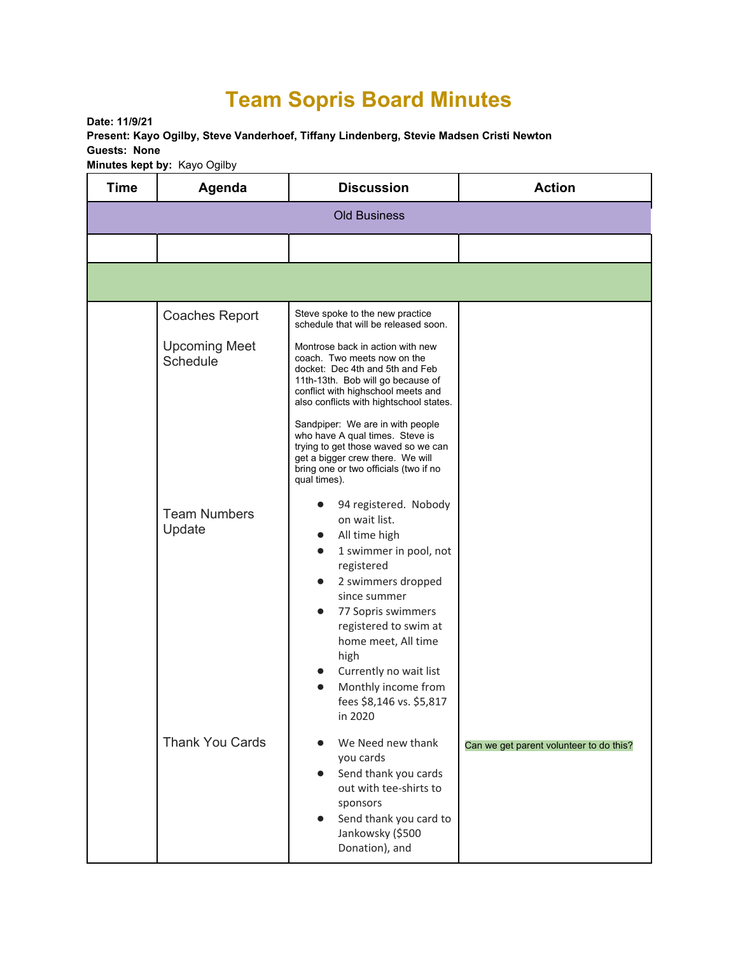## **Team Sopris Board Minutes**

**Date: 11/9/21 Present: Kayo Ogilby, Steve Vanderhoef, Tiffany Lindenberg, Stevie Madsen Cristi Newton Guests: None Minutes kept by:** Kayo Ogilby

| <b>Time</b>         | Agenda                           | <b>Discussion</b>                                                                                                                                                                                                                                                                                                                                                                                                                   | <b>Action</b>                           |  |  |  |
|---------------------|----------------------------------|-------------------------------------------------------------------------------------------------------------------------------------------------------------------------------------------------------------------------------------------------------------------------------------------------------------------------------------------------------------------------------------------------------------------------------------|-----------------------------------------|--|--|--|
| <b>Old Business</b> |                                  |                                                                                                                                                                                                                                                                                                                                                                                                                                     |                                         |  |  |  |
|                     |                                  |                                                                                                                                                                                                                                                                                                                                                                                                                                     |                                         |  |  |  |
|                     |                                  |                                                                                                                                                                                                                                                                                                                                                                                                                                     |                                         |  |  |  |
|                     | <b>Coaches Report</b>            | Steve spoke to the new practice<br>schedule that will be released soon.                                                                                                                                                                                                                                                                                                                                                             |                                         |  |  |  |
|                     | <b>Upcoming Meet</b><br>Schedule | Montrose back in action with new<br>coach. Two meets now on the<br>docket: Dec 4th and 5th and Feb<br>11th-13th. Bob will go because of<br>conflict with highschool meets and<br>also conflicts with hightschool states.<br>Sandpiper: We are in with people<br>who have A qual times. Steve is<br>trying to get those waved so we can<br>get a bigger crew there. We will<br>bring one or two officials (two if no<br>qual times). |                                         |  |  |  |
|                     | <b>Team Numbers</b><br>Update    | 94 registered. Nobody<br>on wait list.<br>All time high<br>$\bullet$<br>1 swimmer in pool, not<br>$\bullet$<br>registered<br>2 swimmers dropped<br>$\bullet$<br>since summer<br>77 Sopris swimmers<br>$\bullet$<br>registered to swim at<br>home meet, All time<br>high<br>Currently no wait list<br>$\bullet$<br>Monthly income from<br>$\bullet$<br>fees \$8,146 vs. \$5,817<br>in 2020                                           |                                         |  |  |  |
|                     | <b>Thank You Cards</b>           | We Need new thank<br>you cards<br>Send thank you cards<br>$\bullet$<br>out with tee-shirts to<br>sponsors<br>Send thank you card to<br>$\bullet$<br>Jankowsky (\$500<br>Donation), and                                                                                                                                                                                                                                              | Can we get parent volunteer to do this? |  |  |  |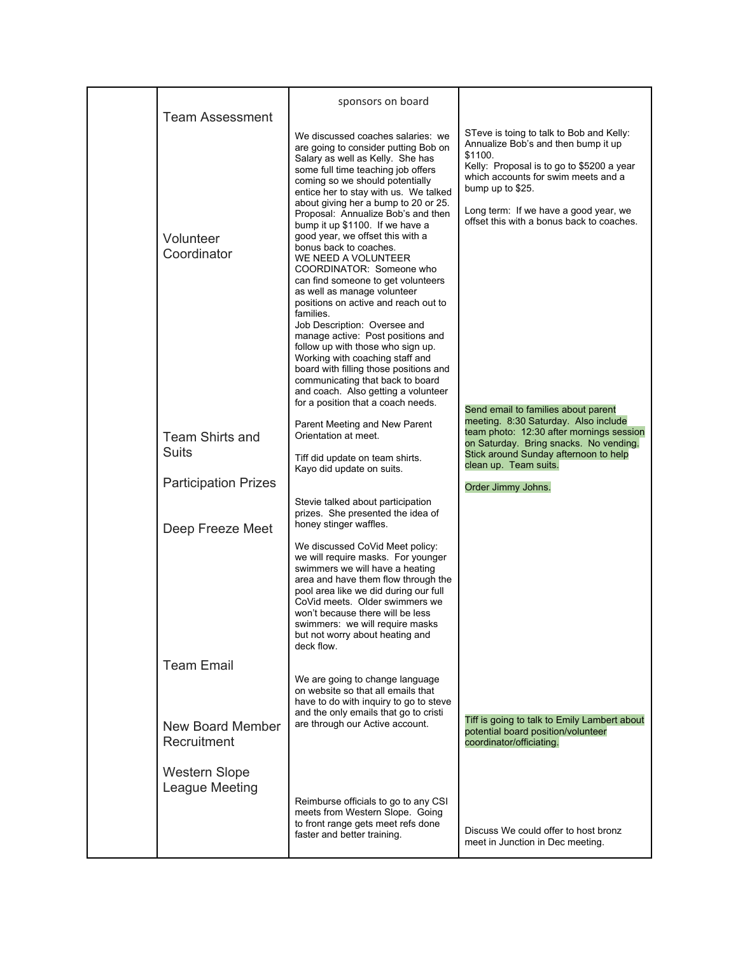|                                        | sponsors on board                                                                                                                                                                                                                                                                                                                                                                                                                                                                                         |                                                                                                                                                                                                                                                                                          |
|----------------------------------------|-----------------------------------------------------------------------------------------------------------------------------------------------------------------------------------------------------------------------------------------------------------------------------------------------------------------------------------------------------------------------------------------------------------------------------------------------------------------------------------------------------------|------------------------------------------------------------------------------------------------------------------------------------------------------------------------------------------------------------------------------------------------------------------------------------------|
| <b>Team Assessment</b>                 | We discussed coaches salaries: we<br>are going to consider putting Bob on<br>Salary as well as Kelly. She has<br>some full time teaching job offers<br>coming so we should potentially<br>entice her to stay with us. We talked<br>about giving her a bump to 20 or 25.<br>Proposal: Annualize Bob's and then<br>bump it up \$1100. If we have a                                                                                                                                                          | STeve is toing to talk to Bob and Kelly:<br>Annualize Bob's and then bump it up<br>\$1100.<br>Kelly: Proposal is to go to \$5200 a year<br>which accounts for swim meets and a<br>bump up to \$25.<br>Long term: If we have a good year, we<br>offset this with a bonus back to coaches. |
| Volunteer<br>Coordinator               | good year, we offset this with a<br>bonus back to coaches.<br>WE NEED A VOLUNTEER<br>COORDINATOR: Someone who<br>can find someone to get volunteers<br>as well as manage volunteer<br>positions on active and reach out to<br>families.<br>Job Description: Oversee and<br>manage active: Post positions and<br>follow up with those who sign up.<br>Working with coaching staff and<br>board with filling those positions and<br>communicating that back to board<br>and coach. Also getting a volunteer |                                                                                                                                                                                                                                                                                          |
| <b>Team Shirts and</b><br><b>Suits</b> | for a position that a coach needs.<br>Parent Meeting and New Parent<br>Orientation at meet.<br>Tiff did update on team shirts.                                                                                                                                                                                                                                                                                                                                                                            | Send email to families about parent<br>meeting. 8:30 Saturday. Also include<br>team photo: 12:30 after mornings session<br>on Saturday. Bring snacks. No vending.<br>Stick around Sunday afternoon to help<br>clean up. Team suits.                                                      |
| <b>Participation Prizes</b>            | Kayo did update on suits.                                                                                                                                                                                                                                                                                                                                                                                                                                                                                 |                                                                                                                                                                                                                                                                                          |
| Deep Freeze Meet                       | Stevie talked about participation<br>prizes. She presented the idea of<br>honey stinger waffles.                                                                                                                                                                                                                                                                                                                                                                                                          | Order Jimmy Johns.                                                                                                                                                                                                                                                                       |
|                                        | We discussed CoVid Meet policy:<br>we will require masks. For younger<br>swimmers we will have a heating<br>area and have them flow through the<br>pool area like we did during our full<br>CoVid meets. Older swimmers we<br>won't because there will be less<br>swimmers: we will require masks<br>but not worry about heating and<br>deck flow.                                                                                                                                                        |                                                                                                                                                                                                                                                                                          |
| <b>Team Email</b>                      |                                                                                                                                                                                                                                                                                                                                                                                                                                                                                                           |                                                                                                                                                                                                                                                                                          |
| <b>New Board Member</b><br>Recruitment | We are going to change language<br>on website so that all emails that<br>have to do with inquiry to go to steve<br>and the only emails that go to cristi<br>are through our Active account.                                                                                                                                                                                                                                                                                                               | Tiff is going to talk to Emily Lambert about<br>potential board position/volunteer<br>coordinator/officiating.                                                                                                                                                                           |
| <b>Western Slope</b><br>League Meeting | Reimburse officials to go to any CSI<br>meets from Western Slope. Going<br>to front range gets meet refs done<br>faster and better training.                                                                                                                                                                                                                                                                                                                                                              | Discuss We could offer to host bronz<br>meet in Junction in Dec meeting.                                                                                                                                                                                                                 |